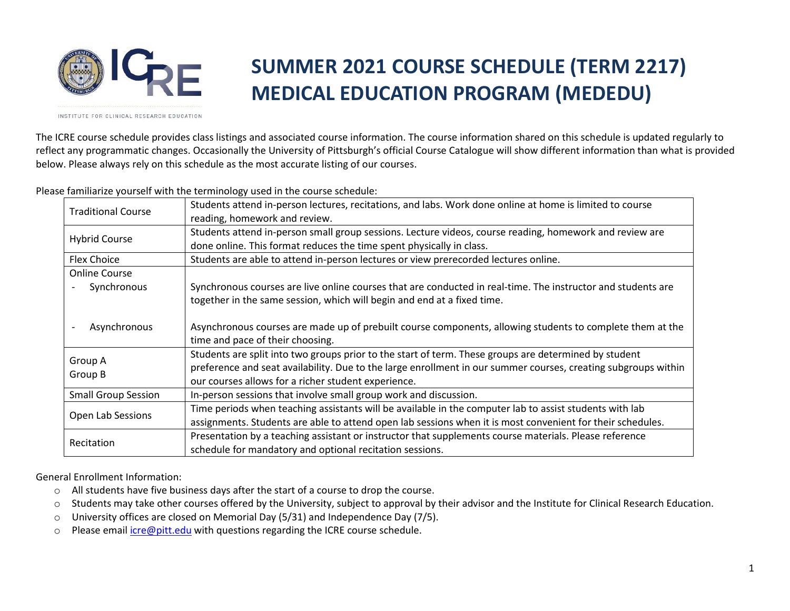

## **SUMMER 2021 COURSE SCHEDULE (TERM 2217) MEDICAL EDUCATION PROGRAM (MEDEDU)**

INSTITUTE FOR CLINICAL RESEARCH EDUCATION

The ICRE course schedule provides class listings and associated course information. The course information shared on this schedule is updated regularly to reflect any programmatic changes. Occasionally the University of Pittsburgh's official Course Catalogue will show different information than what is provided below. Please always rely on this schedule as the most accurate listing of our courses.

Please familiarize yourself with the terminology used in the course schedule:

| <b>Traditional Course</b>  | Students attend in-person lectures, recitations, and labs. Work done online at home is limited to course<br>reading, homework and review.                                       |
|----------------------------|---------------------------------------------------------------------------------------------------------------------------------------------------------------------------------|
| <b>Hybrid Course</b>       | Students attend in-person small group sessions. Lecture videos, course reading, homework and review are<br>done online. This format reduces the time spent physically in class. |
| <b>Flex Choice</b>         | Students are able to attend in-person lectures or view prerecorded lectures online.                                                                                             |
| <b>Online Course</b>       |                                                                                                                                                                                 |
| Synchronous                | Synchronous courses are live online courses that are conducted in real-time. The instructor and students are                                                                    |
|                            | together in the same session, which will begin and end at a fixed time.                                                                                                         |
| Asynchronous               | Asynchronous courses are made up of prebuilt course components, allowing students to complete them at the<br>time and pace of their choosing.                                   |
| Group A                    | Students are split into two groups prior to the start of term. These groups are determined by student                                                                           |
| Group B                    | preference and seat availability. Due to the large enrollment in our summer courses, creating subgroups within                                                                  |
|                            | our courses allows for a richer student experience.                                                                                                                             |
| <b>Small Group Session</b> | In-person sessions that involve small group work and discussion.                                                                                                                |
| Open Lab Sessions          | Time periods when teaching assistants will be available in the computer lab to assist students with lab                                                                         |
|                            | assignments. Students are able to attend open lab sessions when it is most convenient for their schedules.                                                                      |
|                            | Presentation by a teaching assistant or instructor that supplements course materials. Please reference                                                                          |
| Recitation                 | schedule for mandatory and optional recitation sessions.                                                                                                                        |

General Enrollment Information:

- o All students have five business days after the start of a course to drop the course.
- o Students may take other courses offered by the University, subject to approval by their advisor and the Institute for Clinical Research Education.
- $\circ$  University offices are closed on Memorial Day (5/31) and Independence Day (7/5).
- o Please email [icre@pitt.edu](mailto:icre@pitt.edu) with questions regarding the ICRE course schedule.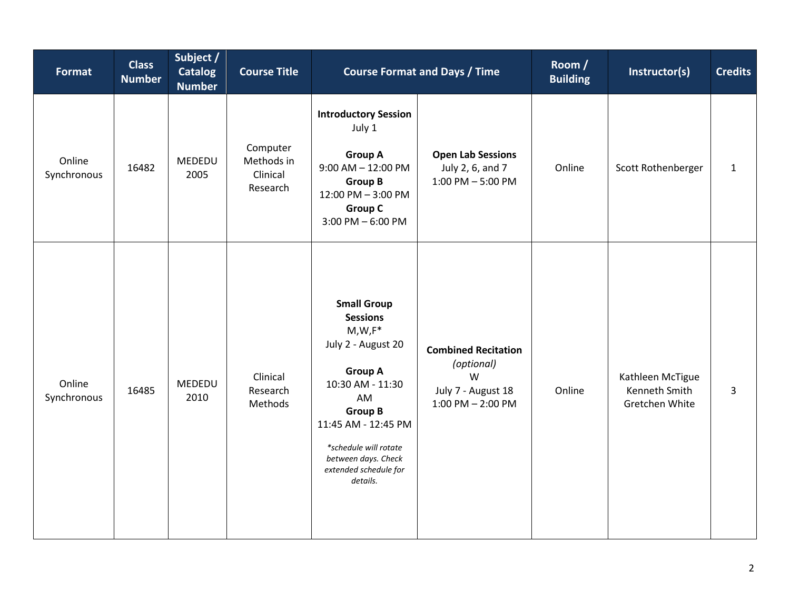| <b>Format</b>         | <b>Class</b><br><b>Number</b> | Subject /<br><b>Catalog</b><br><b>Number</b> | <b>Course Title</b>                            | <b>Course Format and Days / Time</b>                                                                                                                                                                                                               |                                                                                              | Room /<br><b>Building</b> | Instructor(s)                                              | <b>Credits</b> |
|-----------------------|-------------------------------|----------------------------------------------|------------------------------------------------|----------------------------------------------------------------------------------------------------------------------------------------------------------------------------------------------------------------------------------------------------|----------------------------------------------------------------------------------------------|---------------------------|------------------------------------------------------------|----------------|
| Online<br>Synchronous | 16482                         | MEDEDU<br>2005                               | Computer<br>Methods in<br>Clinical<br>Research | <b>Introductory Session</b><br>July 1<br><b>Group A</b><br>$9:00$ AM $- 12:00$ PM<br><b>Group B</b><br>12:00 PM - 3:00 PM<br><b>Group C</b><br>$3:00$ PM $-6:00$ PM                                                                                | <b>Open Lab Sessions</b><br>July 2, 6, and 7<br>$1:00$ PM $-5:00$ PM                         | Online                    | Scott Rothenberger                                         | $\mathbf{1}$   |
| Online<br>Synchronous | 16485                         | MEDEDU<br>2010                               | Clinical<br>Research<br>Methods                | <b>Small Group</b><br><b>Sessions</b><br>$M,W,F^*$<br>July 2 - August 20<br><b>Group A</b><br>10:30 AM - 11:30<br>AM<br><b>Group B</b><br>11:45 AM - 12:45 PM<br>*schedule will rotate<br>between days. Check<br>extended schedule for<br>details. | <b>Combined Recitation</b><br>(optional)<br>W<br>July 7 - August 18<br>$1:00$ PM $- 2:00$ PM | Online                    | Kathleen McTigue<br><b>Kenneth Smith</b><br>Gretchen White | $\overline{3}$ |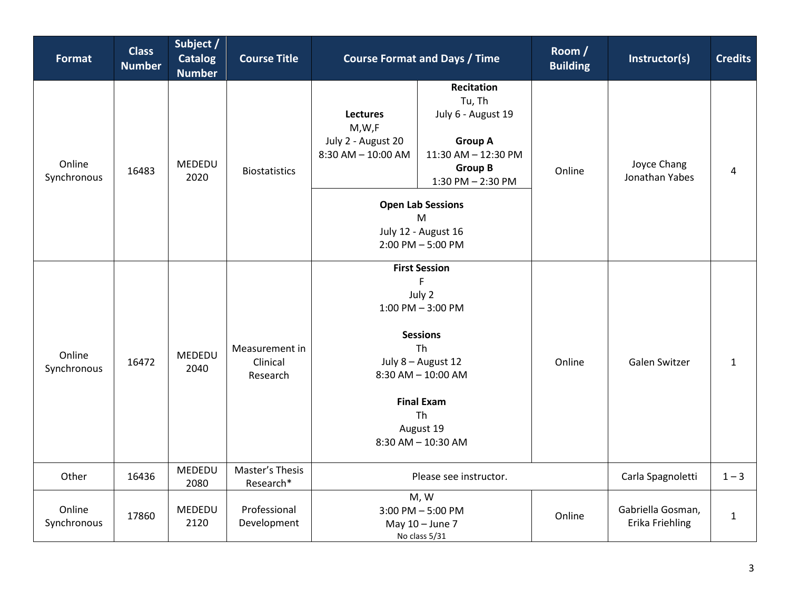| <b>Format</b>         | <b>Class</b><br><b>Number</b> | Subject /<br><b>Catalog</b><br><b>Number</b> | <b>Course Title</b>                    | <b>Course Format and Days / Time</b>                                                                                                                                                               |                                                                                                                                   | Room /<br><b>Building</b> | Instructor(s)                        | <b>Credits</b> |
|-----------------------|-------------------------------|----------------------------------------------|----------------------------------------|----------------------------------------------------------------------------------------------------------------------------------------------------------------------------------------------------|-----------------------------------------------------------------------------------------------------------------------------------|---------------------------|--------------------------------------|----------------|
| Online<br>Synchronous | 16483                         | MEDEDU<br>2020                               | <b>Biostatistics</b>                   | <b>Lectures</b><br>M,W,F<br>July 2 - August 20<br>$8:30$ AM $- 10:00$ AM                                                                                                                           | <b>Recitation</b><br>Tu, Th<br>July 6 - August 19<br><b>Group A</b><br>11:30 AM - 12:30 PM<br><b>Group B</b><br>1:30 PM - 2:30 PM | Online                    | Joyce Chang<br>Jonathan Yabes        | 4              |
|                       |                               |                                              |                                        |                                                                                                                                                                                                    | <b>Open Lab Sessions</b><br>M<br>July 12 - August 16<br>$2:00$ PM $-5:00$ PM                                                      |                           |                                      |                |
| Online<br>Synchronous | 16472                         | <b>MEDEDU</b><br>2040                        | Measurement in<br>Clinical<br>Research | <b>First Session</b><br>F<br>July 2<br>$1:00$ PM $-3:00$ PM<br><b>Sessions</b><br>Th<br>July 8 - August 12<br>$8:30$ AM $- 10:00$ AM<br><b>Final Exam</b><br>Th<br>August 19<br>8:30 AM - 10:30 AM |                                                                                                                                   | Online                    | Galen Switzer                        | $\mathbf{1}$   |
| Other                 | 16436                         | MEDEDU<br>2080                               | Master's Thesis<br>Research*           | Please see instructor.                                                                                                                                                                             |                                                                                                                                   |                           | Carla Spagnoletti                    | $1 - 3$        |
| Online<br>Synchronous | 17860                         | MEDEDU<br>2120                               | Professional<br>Development            | M, W<br>$3:00$ PM $-5:00$ PM<br>May 10 - June 7<br>No class 5/31                                                                                                                                   |                                                                                                                                   | Online                    | Gabriella Gosman,<br>Erika Friehling | $\mathbf{1}$   |